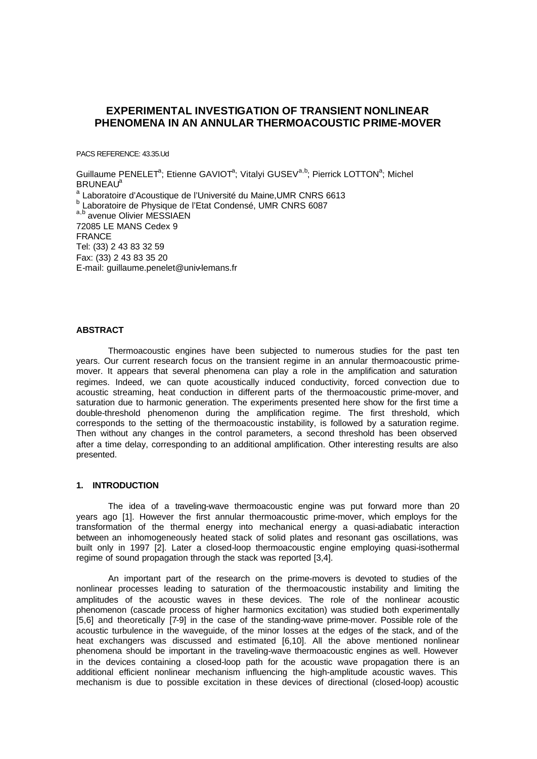# **EXPERIMENTAL INVESTIGATION OF TRANSIENT NONLINEAR PHENOMENA IN AN ANNULAR THERMOACOUSTIC PRIME-MOVER**

PACS REFERENCE: 43.35.Ud

Guillaume PENELET<sup>a</sup>; Etienne GAVIOT<sup>a</sup>; Vitalyi GUSEV<sup>a,b</sup>; Pierrick LOTTON<sup>a</sup>; Michel **BRUNEAU<sup>a</sup>** <sup>a</sup> Laboratoire d'Acoustique de l'Université du Maine,UMR CNRS 6613 <sup>b</sup> Laboratoire de Physique de l'Etat Condensé, UMR CNRS 6087 a,b avenue Olivier MESSIAEN 72085 LE MANS Cedex 9 FRANCE Tel: (33) 2 43 83 32 59 Fax: (33) 2 43 83 35 20 E-mail: guillaume.penelet@univ-lemans.fr

### **ABSTRACT**

Thermoacoustic engines have been subjected to numerous studies for the past ten years. Our current research focus on the transient regime in an annular thermoacoustic primemover. It appears that several phenomena can play a role in the amplification and saturation regimes. Indeed, we can quote acoustically induced conductivity, forced convection due to acoustic streaming, heat conduction in different parts of the thermoacoustic prime-mover, and saturation due to harmonic generation. The experiments presented here show for the first time a double-threshold phenomenon during the amplification regime. The first threshold, which corresponds to the setting of the thermoacoustic instability, is followed by a saturation regime. Then without any changes in the control parameters, a second threshold has been observed after a time delay, corresponding to an additional amplification. Other interesting results are also presented.

## **1. INTRODUCTION**

The idea of a traveling-wave thermoacoustic engine was put forward more than 20 years ago [1]. However the first annular thermoacoustic prime-mover, which employs for the transformation of the thermal energy into mechanical energy a quasi-adiabatic interaction between an inhomogeneously heated stack of solid plates and resonant gas oscillations, was built only in 1997 [2]. Later a closed-loop thermoacoustic engine employing quasi-isothermal regime of sound propagation through the stack was reported [3,4].

An important part of the research on the prime-movers is devoted to studies of the nonlinear processes leading to saturation of the thermoacoustic instability and limiting the amplitudes of the acoustic waves in these devices. The role of the nonlinear acoustic phenomenon (cascade process of higher harmonics excitation) was studied both experimentally [5,6] and theoretically [7-9] in the case of the standing-wave prime-mover. Possible role of the acoustic turbulence in the waveguide, of the minor losses at the edges of the stack, and of the heat exchangers was discussed and estimated [6,10]. All the above mentioned nonlinear phenomena should be important in the traveling-wave thermoacoustic engines as well. However in the devices containing a closed-loop path for the acoustic wave propagation there is an additional efficient nonlinear mechanism influencing the high-amplitude acoustic waves. This mechanism is due to possible excitation in these devices of directional (closed-loop) acoustic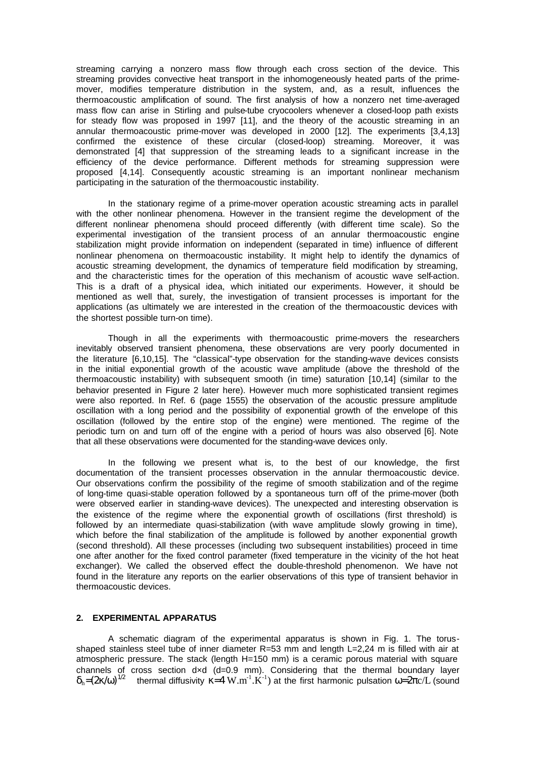streaming carrying a nonzero mass flow through each cross section of the device. This streaming provides convective heat transport in the inhomogeneously heated parts of the primemover, modifies temperature distribution in the system, and, as a result, influences the thermoacoustic amplification of sound. The first analysis of how a nonzero net time-averaged mass flow can arise in Stirling and pulse-tube cryocoolers whenever a closed-loop path exists for steady flow was proposed in 1997 [11], and the theory of the acoustic streaming in an annular thermoacoustic prime-mover was developed in 2000 [12]. The experiments [3,4,13] confirmed the existence of these circular (closed-loop) streaming. Moreover, it was demonstrated [4] that suppression of the streaming leads to a significant increase in the efficiency of the device performance. Different methods for streaming suppression were proposed [4,14]. Consequently acoustic streaming is an important nonlinear mechanism participating in the saturation of the thermoacoustic instability.

In the stationary regime of a prime-mover operation acoustic streaming acts in parallel with the other nonlinear phenomena. However in the transient regime the development of the different nonlinear phenomena should proceed differently (with different time scale). So the experimental investigation of the transient process of an annular thermoacoustic engine stabilization might provide information on independent (separated in time) influence of different nonlinear phenomena on thermoacoustic instability. It might help to identify the dynamics of acoustic streaming development, the dynamics of temperature field modification by streaming, and the characteristic times for the operation of this mechanism of acoustic wave self-action. This is a draft of a physical idea, which initiated our experiments. However, it should be mentioned as well that, surely, the investigation of transient processes is important for the applications (as ultimately we are interested in the creation of the thermoacoustic devices with the shortest possible turn-on time).

Though in all the experiments with thermoacoustic prime-movers the researchers inevitably observed transient phenomena, these observations are very poorly documented in the literature [6,10,15]. The "classical"-type observation for the standing-wave devices consists in the initial exponential growth of the acoustic wave amplitude (above the threshold of the thermoacoustic instability) with subsequent smooth (in time) saturation [10,14] (similar to the behavior presented in Figure 2 later here). However much more sophisticated transient regimes were also reported. In Ref. 6 (page 1555) the observation of the acoustic pressure amplitude oscillation with a long period and the possibility of exponential growth of the envelope of this oscillation (followed by the entire stop of the engine) were mentioned. The regime of the periodic turn on and turn off of the engine with a period of hours was also observed [6]. Note that all these observations were documented for the standing-wave devices only.

In the following we present what is, to the best of our knowledge, the first documentation of the transient processes observation in the annular thermoacoustic device. Our observations confirm the possibility of the regime of smooth stabilization and of the regime of long-time quasi-stable operation followed by a spontaneous turn off of the prime-mover (both were observed earlier in standing-wave devices). The unexpected and interesting observation is the existence of the regime where the exponential growth of oscillations (first threshold) is followed by an intermediate quasi-stabilization (with wave amplitude slowly growing in time), which before the final stabilization of the amplitude is followed by another exponential growth (second threshold). All these processes (including two subsequent instabilities) proceed in time one after another for the fixed control parameter (fixed temperature in the vicinity of the hot heat exchanger). We called the observed effect the double-threshold phenomenon. We have not found in the literature any reports on the earlier observations of this type of transient behavior in thermoacoustic devices.

## **2. EXPERIMENTAL APPARATUS**

A schematic diagram of the experimental apparatus is shown in Fig. 1. The torusshaped stainless steel tube of inner diameter R=53 mm and length L=2,24 m is filled with air at atmospheric pressure. The stack (length H=150 mm) is a ceramic porous material with square channels of cross section d×d (d=0.9 mm). Considering that the thermal boundary layer  $\delta_h = (2\kappa/\omega)^{1/2}$  thermal diffusivity  $\kappa = 4$  W.m<sup>-1</sup>.K<sup>-1</sup>) at the first harmonic pulsation ω=2πc/L (sound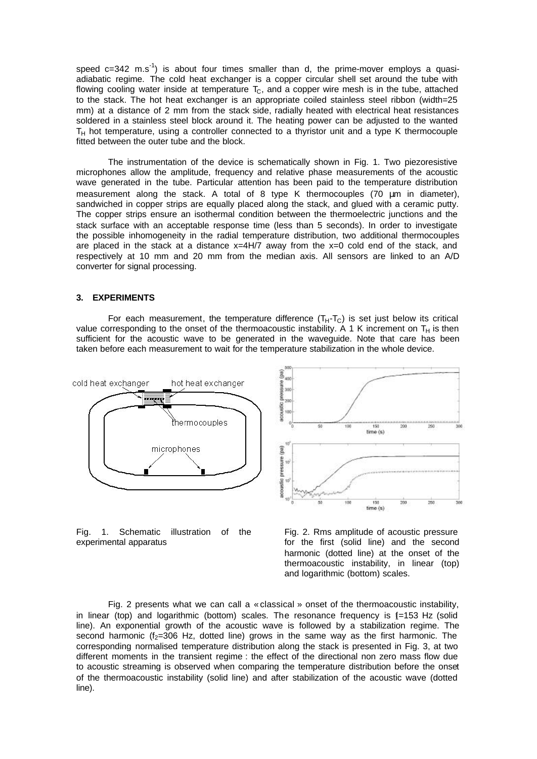speed c=342 m.s<sup>-1</sup>) is about four times smaller than d, the prime-mover employs a quasiadiabatic regime. The cold heat exchanger is a copper circular shell set around the tube with flowing cooling water inside at temperature  $T_c$ , and a copper wire mesh is in the tube, attached to the stack. The hot heat exchanger is an appropriate coiled stainless steel ribbon (width=25 mm) at a distance of 2 mm from the stack side, radially heated with electrical heat resistances soldered in a stainless steel block around it. The heating power can be adjusted to the wanted  $T_H$  hot temperature, using a controller connected to a thyristor unit and a type K thermocouple fitted between the outer tube and the block.

The instrumentation of the device is schematically shown in Fig. 1. Two piezoresistive microphones allow the amplitude, frequency and relative phase measurements of the acoustic wave generated in the tube. Particular attention has been paid to the temperature distribution measurement along the stack. A total of 8 type K thermocouples (70 μm in diameter), sandwiched in copper strips are equally placed along the stack, and glued with a ceramic putty. The copper strips ensure an isothermal condition between the thermoelectric junctions and the stack surface with an acceptable response time (less than 5 seconds). In order to investigate the possible inhomogeneity in the radial temperature distribution, two additional thermocouples are placed in the stack at a distance  $x=4H/7$  away from the  $x=0$  cold end of the stack, and respectively at 10 mm and 20 mm from the median axis. All sensors are linked to an A/D converter for signal processing.

#### **3. EXPERIMENTS**

For each measurement, the temperature difference  $(T_H-T_C)$  is set just below its critical value corresponding to the onset of the thermoacoustic instability. A 1 K increment on  $T_H$  is then sufficient for the acoustic wave to be generated in the waveguide. Note that care has been taken before each measurement to wait for the temperature stabilization in the whole device.



Fig. 1. Schematic illustration of the experimental apparatus



Fig. 2. Rms amplitude of acoustic pressure for the first (solid line) and the second harmonic (dotted line) at the onset of the thermoacoustic instability, in linear (top) and logarithmic (bottom) scales.

Fig. 2 presents what we can call a « classical » onset of the thermoacoustic instability, in linear (top) and logarithmic (bottom) scales. The resonance frequency is  $f=153$  Hz (solid line). An exponential growth of the acoustic wave is followed by a stabilization regime. The second harmonic ( $f_2$ =306 Hz, dotted line) grows in the same way as the first harmonic. The corresponding normalised temperature distribution along the stack is presented in Fig. 3, at two different moments in the transient regime : the effect of the directional non zero mass flow due to acoustic streaming is observed when comparing the temperature distribution before the onset of the thermoacoustic instability (solid line) and after stabilization of the acoustic wave (dotted line).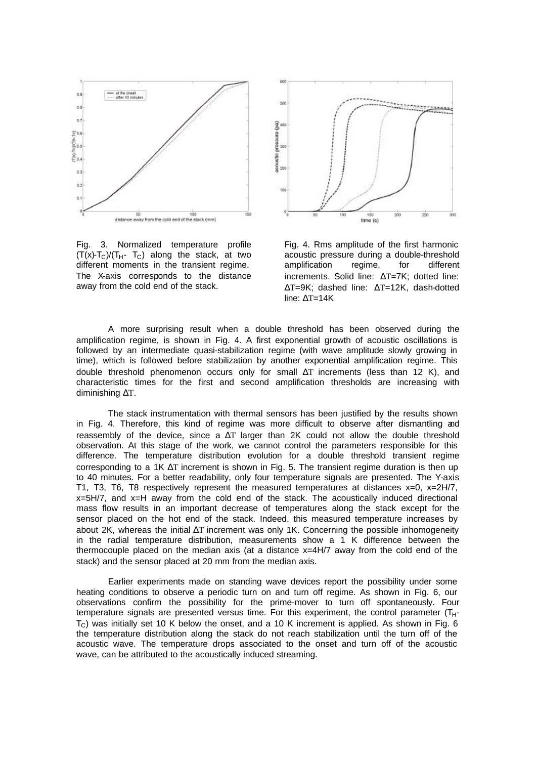

Fig. 3. Normalized temperature profile  $(T(x)-T_C)/(T_H-T_C)$  along the stack, at two different moments in the transient regime. The X-axis corresponds to the distance away from the cold end of the stack.



Fig. 4. Rms amplitude of the first harmonic acoustic pressure during a double-threshold amplification regime, for different increments. Solid line: ΔT=7K; dotted line: ΔT=9K; dashed line: ΔT=12K, dash-dotted line: ΔT=14K

A more surprising result when a double threshold has been observed during the amplification regime, is shown in Fig. 4. A first exponential growth of acoustic oscillations is followed by an intermediate quasi-stabilization regime (with wave amplitude slowly growing in time), which is followed before stabilization by another exponential amplification regime. This double threshold phenomenon occurs only for small ΔT increments (less than 12 K), and characteristic times for the first and second amplification thresholds are increasing with diminishing ΔT.

The stack instrumentation with thermal sensors has been justified by the results shown in Fig. 4. Therefore, this kind of regime was more difficult to observe after dismantling and reassembly of the device, since a ΔT larger than 2K could not allow the double threshold observation. At this stage of the work, we cannot control the parameters responsible for this difference. The temperature distribution evolution for a double threshold transient regime corresponding to a 1K ΔT increment is shown in Fig. 5. The transient regime duration is then up to 40 minutes. For a better readability, only four temperature signals are presented. The Y-axis T1, T3, T6, T8 respectively represent the measured temperatures at distances x=0, x=2H/7, x=5H/7, and x=H away from the cold end of the stack. The acoustically induced directional mass flow results in an important decrease of temperatures along the stack except for the sensor placed on the hot end of the stack. Indeed, this measured temperature increases by about 2K, whereas the initial ΔT increment was only 1K. Concerning the possible inhomogeneity in the radial temperature distribution, measurements show a 1 K difference between the thermocouple placed on the median axis (at a distance x=4H/7 away from the cold end of the stack) and the sensor placed at 20 mm from the median axis.

Earlier experiments made on standing wave devices report the possibility under some heating conditions to observe a periodic turn on and turn off regime. As shown in Fig. 6, our observations confirm the possibility for the prime-mover to turn off spontaneously. Four temperature signals are presented versus time. For this experiment, the control parameter (T<sub>H</sub>- $T_c$ ) was initially set 10 K below the onset, and a 10 K increment is applied. As shown in Fig. 6 the temperature distribution along the stack do not reach stabilization until the turn off of the acoustic wave. The temperature drops associated to the onset and turn off of the acoustic wave, can be attributed to the acoustically induced streaming.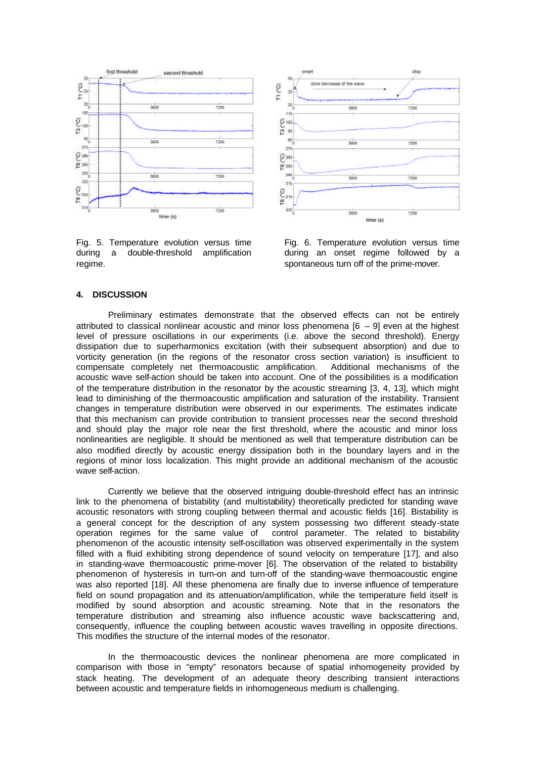

Fig. 5. Temperature evolution versus time during a double-threshold amplification regime.



Fig. 6. Temperature evolution versus time during an onset regime followed by a spontaneous turn off of the prime-mover.

### **4. DISCUSSION**

Preliminary estimates demonstrate that the observed effects can not be entirely attributed to classical nonlinear acoustic and minor loss phenomena [6 – 9] even at the highest level of pressure oscillations in our experiments (i.e. above the second threshold). Energy dissipation due to superharmonics excitation (with their subsequent absorption) and due to vorticity generation (in the regions of the resonator cross section variation) is insufficient to compensate completely net thermoacoustic amplification. Additional mechanisms of the acoustic wave self-action should be taken into account. One of the possibilities is a modification of the temperature distribution in the resonator by the acoustic streaming [3, 4, 13], which might lead to diminishing of the thermoacoustic amplification and saturation of the instability. Transient changes in temperature distribution were observed in our experiments. The estimates indicate that this mechanism can provide contribution to transient processes near the second threshold and should play the major role near the first threshold, where the acoustic and minor loss nonlinearities are negligible. It should be mentioned as well that temperature distribution can be also modified directly by acoustic energy dissipation both in the boundary layers and in the regions of minor loss localization. This might provide an additional mechanism of the acoustic wave self-action.

Currently we believe that the observed intriguing double-threshold effect has an intrinsic link to the phenomena of bistability (and multistability) theoretically predicted for standing wave acoustic resonators with strong coupling between thermal and acoustic fields [16]. Bistability is a general concept for the description of any system possessing two different steady-state operation regimes for the same value of control parameter. The related to bistability phenomenon of the acoustic intensity self-oscillation was observed experimentally in the system filled with a fluid exhibiting strong dependence of sound velocity on temperature [17], and also in standing-wave thermoacoustic prime-mover [6]. The observation of the related to bistability phenomenon of hysteresis in turn-on and turn-off of the standing-wave thermoacoustic engine was also reported [18]. All these phenomena are finally due to inverse influence of temperature field on sound propagation and its attenuation/amplification, while the temperature field itself is modified by sound absorption and acoustic streaming. Note that in the resonators the temperature distribution and streaming also influence acoustic wave backscattering and, consequently, influence the coupling between acoustic waves travelling in opposite directions. This modifies the structure of the internal modes of the resonator.

In the thermoacoustic devices the nonlinear phenomena are more complicated in comparison with those in "empty" resonators because of spatial inhomogeneity provided by stack heating. The development of an adequate theory describing transient interactions between acoustic and temperature fields in inhomogeneous medium is challenging.